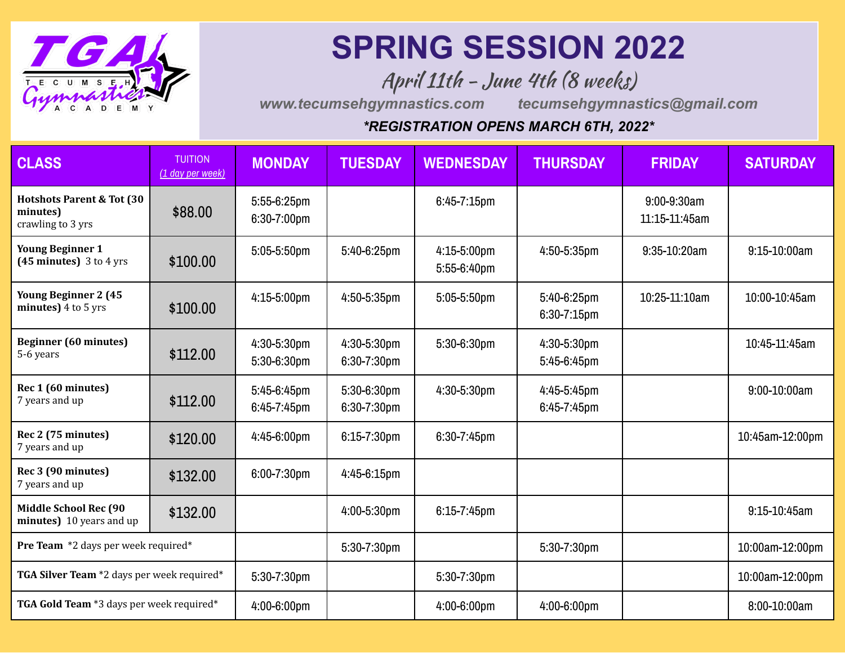

## **SPRING SESSION 2022**

April 11th - June 4th (8 weeks)

*www.tecumsehgymnastics.com tecumsehgymnastics@gmail.com*

## *\*REGISTRATION OPENS MARCH 6TH, 2022\**

| <b>CLASS</b>                                                           | <b>TUITION</b><br>(1 day per week) | <b>MONDAY</b>                    | <b>TUESDAY</b>                | <b>WEDNESDAY</b>           | <b>THURSDAY</b>                 | <b>FRIDAY</b>                  | <b>SATURDAY</b>   |
|------------------------------------------------------------------------|------------------------------------|----------------------------------|-------------------------------|----------------------------|---------------------------------|--------------------------------|-------------------|
| <b>Hotshots Parent &amp; Tot (30)</b><br>minutes)<br>crawling to 3 yrs | \$88.00                            | $5:55-6:25$ pm<br>$6:30-7:00$ pm |                               | 6:45-7:15pm                |                                 | $9:00-9:30am$<br>11:15-11:45am |                   |
| <b>Young Beginner 1</b><br>$(45$ minutes) 3 to 4 yrs                   | \$100.00                           | $5:05 - 5:50$ pm                 | 5:40-6:25pm                   | 4:15-5:00pm<br>5:55-6:40pm | 4:50-5:35pm                     | 9:35-10:20am                   | $9:15 - 10:00am$  |
| <b>Young Beginner 2 (45</b><br>minutes) 4 to 5 yrs                     | \$100.00                           | $4:15-5:00$ pm                   | 4:50-5:35pm                   | 5:05-5:50pm                | 5:40-6:25pm<br>$6:30 - 7:15$ pm | 10:25-11:10am                  | 10:00-10:45am     |
| <b>Beginner</b> (60 minutes)<br>5-6 years                              | \$112.00                           | 4:30-5:30pm<br>5:30-6:30pm       | 4:30-5:30pm<br>6:30-7:30pm    | 5:30-6:30pm                | 4:30-5:30pm<br>5:45-6:45pm      |                                | 10:45-11:45am     |
| Rec 1 (60 minutes)<br>7 years and up                                   | \$112.00                           | 5:45-6:45pm<br>6:45-7:45pm       | $5:30-6:30$ pm<br>6:30-7:30pm | 4:30-5:30pm                | 4:45-5:45pm<br>$6:45-7:45$ pm   |                                | 9:00-10:00am      |
| Rec 2 (75 minutes)<br>7 years and up                                   | \$120.00                           | 4:45-6:00pm                      | $6:15 - 7:30$ pm              | 6:30-7:45pm                |                                 |                                | 10:45am-12:00pm   |
| Rec 3 (90 minutes)<br>7 years and up                                   | \$132.00                           | $6:00 - 7:30$ pm                 | 4:45-6:15pm                   |                            |                                 |                                |                   |
| <b>Middle School Rec (90</b><br>minutes) 10 years and up               | \$132.00                           |                                  | 4:00-5:30pm                   | $6:15 - 7:45$ pm           |                                 |                                | $9:15 - 10:45$ am |
| Pre Team *2 days per week required*                                    |                                    |                                  | 5:30-7:30pm                   |                            | 5:30-7:30pm                     |                                | 10:00am-12:00pm   |
| TGA Silver Team *2 days per week required*                             |                                    | 5:30-7:30pm                      |                               | 5:30-7:30pm                |                                 |                                | 10:00am-12:00pm   |
| TGA Gold Team *3 days per week required*                               |                                    | 4:00-6:00pm                      |                               | 4:00-6:00pm                | 4:00-6:00pm                     |                                | 8:00-10:00am      |